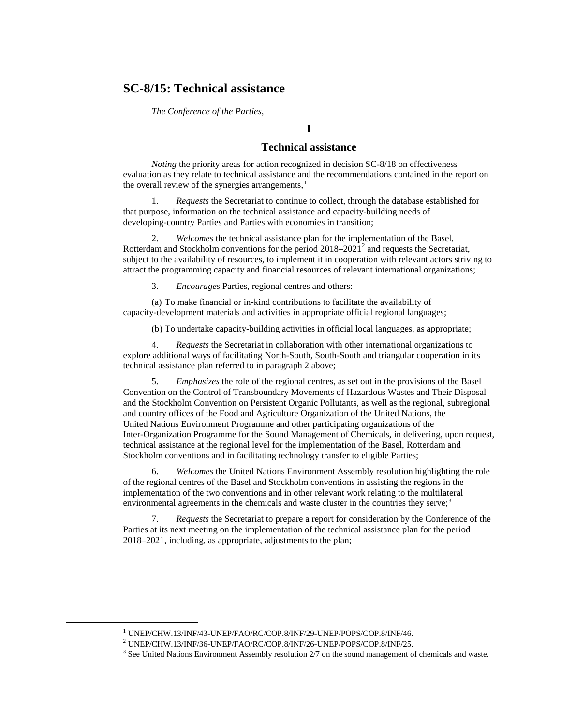## **SC-8/15: Technical assistance**

*The Conference of the Parties,*

### **I**

### **Technical assistance**

*Noting* the priority areas for action recognized in decision SC-8/18 on effectiveness evaluation as they relate to technical assistance and the recommendations contained in the report on the overall review of the synergies arrangements, $<sup>1</sup>$  $<sup>1</sup>$  $<sup>1</sup>$ </sup>

1. *Requests* the Secretariat to continue to collect, through the database established for that purpose, information on the technical assistance and capacity-building needs of developing-country Parties and Parties with economies in transition;

2. *Welcomes* the technical assistance plan for the implementation of the Basel, Rotterdam and Stockholm conventions for the period  $2018-2021^2$  $2018-2021^2$  and requests the Secretariat, subject to the availability of resources, to implement it in cooperation with relevant actors striving to attract the programming capacity and financial resources of relevant international organizations;

3. *Encourages* Parties, regional centres and others:

(a) To make financial or in-kind contributions to facilitate the availability of capacity-development materials and activities in appropriate official regional languages;

(b) To undertake capacity-building activities in official local languages, as appropriate;

4. *Requests* the Secretariat in collaboration with other international organizations to explore additional ways of facilitating North-South, South-South and triangular cooperation in its technical assistance plan referred to in paragraph 2 above;

5. *Emphasizes* the role of the regional centres, as set out in the provisions of the Basel Convention on the Control of Transboundary Movements of Hazardous Wastes and Their Disposal and the Stockholm Convention on Persistent Organic Pollutants, as well as the regional, subregional and country offices of the Food and Agriculture Organization of the United Nations, the United Nations Environment Programme and other participating organizations of the Inter-Organization Programme for the Sound Management of Chemicals, in delivering, upon request, technical assistance at the regional level for the implementation of the Basel, Rotterdam and Stockholm conventions and in facilitating technology transfer to eligible Parties;

6. *Welcomes* the United Nations Environment Assembly resolution highlighting the role of the regional centres of the Basel and Stockholm conventions in assisting the regions in the implementation of the two conventions and in other relevant work relating to the multilateral environmental agreements in the chemicals and waste cluster in the countries they serve;<sup>[3](#page-0-2)</sup>

7. *Requests* the Secretariat to prepare a report for consideration by the Conference of the Parties at its next meeting on the implementation of the technical assistance plan for the period 2018–2021, including, as appropriate, adjustments to the plan;

<span id="page-0-0"></span> $^{\rm 1}$  UNEP/CHW.13/INF/43-UNEP/FAO/RC/COP.8/INF/29-UNEP/POPS/COP.8/INF/46.

<sup>2</sup> UNEP/CHW.13/INF/36-UNEP/FAO/RC/COP.8/INF/26-UNEP/POPS/COP.8/INF/25.

<span id="page-0-2"></span><span id="page-0-1"></span> $3$  See United Nations Environment Assembly resolution  $2/7$  on the sound management of chemicals and waste.